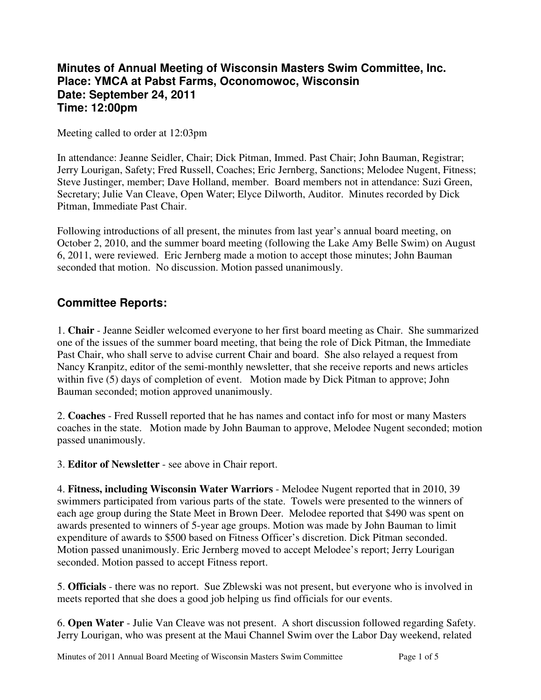## **Minutes of Annual Meeting of Wisconsin Masters Swim Committee, Inc. Place: YMCA at Pabst Farms, Oconomowoc, Wisconsin Date: September 24, 2011 Time: 12:00pm**

Meeting called to order at 12:03pm

In attendance: Jeanne Seidler, Chair; Dick Pitman, Immed. Past Chair; John Bauman, Registrar; Jerry Lourigan, Safety; Fred Russell, Coaches; Eric Jernberg, Sanctions; Melodee Nugent, Fitness; Steve Justinger, member; Dave Holland, member. Board members not in attendance: Suzi Green, Secretary; Julie Van Cleave, Open Water; Elyce Dilworth, Auditor. Minutes recorded by Dick Pitman, Immediate Past Chair.

Following introductions of all present, the minutes from last year's annual board meeting, on October 2, 2010, and the summer board meeting (following the Lake Amy Belle Swim) on August 6, 2011, were reviewed. Eric Jernberg made a motion to accept those minutes; John Bauman seconded that motion. No discussion. Motion passed unanimously.

## **Committee Reports:**

1. **Chair** - Jeanne Seidler welcomed everyone to her first board meeting as Chair. She summarized one of the issues of the summer board meeting, that being the role of Dick Pitman, the Immediate Past Chair, who shall serve to advise current Chair and board. She also relayed a request from Nancy Kranpitz, editor of the semi-monthly newsletter, that she receive reports and news articles within five (5) days of completion of event. Motion made by Dick Pitman to approve; John Bauman seconded; motion approved unanimously.

2. **Coaches** - Fred Russell reported that he has names and contact info for most or many Masters coaches in the state. Motion made by John Bauman to approve, Melodee Nugent seconded; motion passed unanimously.

3. **Editor of Newsletter** - see above in Chair report.

4. **Fitness, including Wisconsin Water Warriors** - Melodee Nugent reported that in 2010, 39 swimmers participated from various parts of the state. Towels were presented to the winners of each age group during the State Meet in Brown Deer. Melodee reported that \$490 was spent on awards presented to winners of 5-year age groups. Motion was made by John Bauman to limit expenditure of awards to \$500 based on Fitness Officer's discretion. Dick Pitman seconded. Motion passed unanimously. Eric Jernberg moved to accept Melodee's report; Jerry Lourigan seconded. Motion passed to accept Fitness report.

5. **Officials** - there was no report. Sue Zblewski was not present, but everyone who is involved in meets reported that she does a good job helping us find officials for our events.

6. **Open Water** - Julie Van Cleave was not present. A short discussion followed regarding Safety. Jerry Lourigan, who was present at the Maui Channel Swim over the Labor Day weekend, related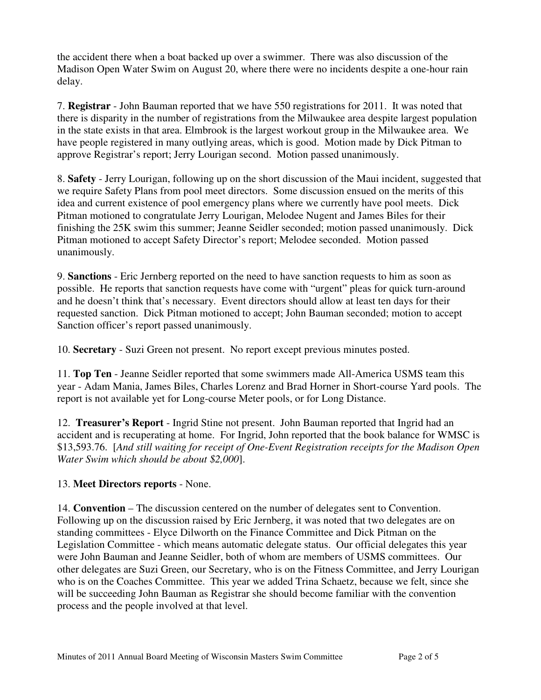the accident there when a boat backed up over a swimmer. There was also discussion of the Madison Open Water Swim on August 20, where there were no incidents despite a one-hour rain delay.

7. **Registrar** - John Bauman reported that we have 550 registrations for 2011. It was noted that there is disparity in the number of registrations from the Milwaukee area despite largest population in the state exists in that area. Elmbrook is the largest workout group in the Milwaukee area. We have people registered in many outlying areas, which is good. Motion made by Dick Pitman to approve Registrar's report; Jerry Lourigan second. Motion passed unanimously.

8. **Safety** - Jerry Lourigan, following up on the short discussion of the Maui incident, suggested that we require Safety Plans from pool meet directors. Some discussion ensued on the merits of this idea and current existence of pool emergency plans where we currently have pool meets. Dick Pitman motioned to congratulate Jerry Lourigan, Melodee Nugent and James Biles for their finishing the 25K swim this summer; Jeanne Seidler seconded; motion passed unanimously. Dick Pitman motioned to accept Safety Director's report; Melodee seconded. Motion passed unanimously.

9. **Sanctions** - Eric Jernberg reported on the need to have sanction requests to him as soon as possible. He reports that sanction requests have come with "urgent" pleas for quick turn-around and he doesn't think that's necessary. Event directors should allow at least ten days for their requested sanction. Dick Pitman motioned to accept; John Bauman seconded; motion to accept Sanction officer's report passed unanimously.

10. **Secretary** - Suzi Green not present. No report except previous minutes posted.

11. **Top Ten** - Jeanne Seidler reported that some swimmers made All-America USMS team this year - Adam Mania, James Biles, Charles Lorenz and Brad Horner in Short-course Yard pools. The report is not available yet for Long-course Meter pools, or for Long Distance.

12. **Treasurer's Report** - Ingrid Stine not present. John Bauman reported that Ingrid had an accident and is recuperating at home. For Ingrid, John reported that the book balance for WMSC is \$13,593.76. [*And still waiting for receipt of One-Event Registration receipts for the Madison Open Water Swim which should be about \$2,000*].

### 13. **Meet Directors reports** - None.

14. **Convention** – The discussion centered on the number of delegates sent to Convention. Following up on the discussion raised by Eric Jernberg, it was noted that two delegates are on standing committees - Elyce Dilworth on the Finance Committee and Dick Pitman on the Legislation Committee - which means automatic delegate status. Our official delegates this year were John Bauman and Jeanne Seidler, both of whom are members of USMS committees. Our other delegates are Suzi Green, our Secretary, who is on the Fitness Committee, and Jerry Lourigan who is on the Coaches Committee. This year we added Trina Schaetz, because we felt, since she will be succeeding John Bauman as Registrar she should become familiar with the convention process and the people involved at that level.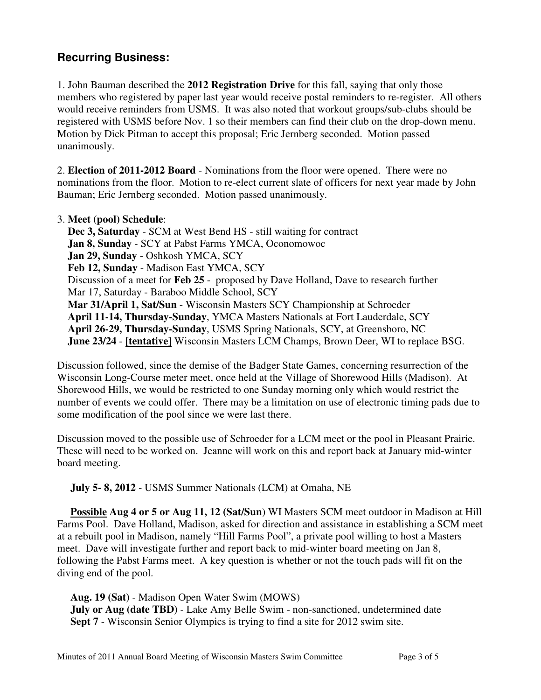# **Recurring Business:**

1. John Bauman described the **2012 Registration Drive** for this fall, saying that only those members who registered by paper last year would receive postal reminders to re-register. All others would receive reminders from USMS. It was also noted that workout groups/sub-clubs should be registered with USMS before Nov. 1 so their members can find their club on the drop-down menu. Motion by Dick Pitman to accept this proposal; Eric Jernberg seconded. Motion passed unanimously.

2. **Election of 2011-2012 Board** - Nominations from the floor were opened. There were no nominations from the floor. Motion to re-elect current slate of officers for next year made by John Bauman; Eric Jernberg seconded. Motion passed unanimously.

#### 3. **Meet (pool) Schedule**:

 **Dec 3, Saturday** - SCM at West Bend HS - still waiting for contract **Jan 8, Sunday** - SCY at Pabst Farms YMCA, Oconomowoc **Jan 29, Sunday** - Oshkosh YMCA, SCY **Feb 12, Sunday** - Madison East YMCA, SCY Discussion of a meet for **Feb 25** - proposed by Dave Holland, Dave to research further Mar 17, Saturday - Baraboo Middle School, SCY **Mar 31/April 1, Sat/Sun** - Wisconsin Masters SCY Championship at Schroeder **April 11-14, Thursday-Sunday**, YMCA Masters Nationals at Fort Lauderdale, SCY **April 26-29, Thursday-Sunday**, USMS Spring Nationals, SCY, at Greensboro, NC **June 23/24** - **[tentative]** Wisconsin Masters LCM Champs, Brown Deer, WI to replace BSG.

Discussion followed, since the demise of the Badger State Games, concerning resurrection of the Wisconsin Long-Course meter meet, once held at the Village of Shorewood Hills (Madison). At Shorewood Hills, we would be restricted to one Sunday morning only which would restrict the number of events we could offer. There may be a limitation on use of electronic timing pads due to some modification of the pool since we were last there.

Discussion moved to the possible use of Schroeder for a LCM meet or the pool in Pleasant Prairie. These will need to be worked on. Jeanne will work on this and report back at January mid-winter board meeting.

**July 5- 8, 2012** - USMS Summer Nationals (LCM) at Omaha, NE

 **Possible Aug 4 or 5 or Aug 11, 12 (Sat/Sun**) WI Masters SCM meet outdoor in Madison at Hill Farms Pool. Dave Holland, Madison, asked for direction and assistance in establishing a SCM meet at a rebuilt pool in Madison, namely "Hill Farms Pool", a private pool willing to host a Masters meet. Dave will investigate further and report back to mid-winter board meeting on Jan 8, following the Pabst Farms meet. A key question is whether or not the touch pads will fit on the diving end of the pool.

 **Aug. 19 (Sat)** - Madison Open Water Swim (MOWS) **July or Aug (date TBD)** - Lake Amy Belle Swim - non-sanctioned, undetermined date **Sept 7** - Wisconsin Senior Olympics is trying to find a site for 2012 swim site.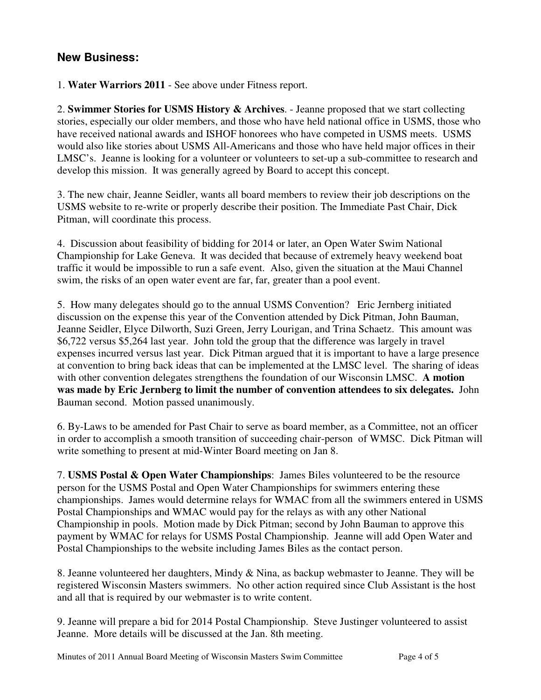## **New Business:**

1. **Water Warriors 2011** - See above under Fitness report.

2. **Swimmer Stories for USMS History & Archives**. - Jeanne proposed that we start collecting stories, especially our older members, and those who have held national office in USMS, those who have received national awards and ISHOF honorees who have competed in USMS meets. USMS would also like stories about USMS All-Americans and those who have held major offices in their LMSC's. Jeanne is looking for a volunteer or volunteers to set-up a sub-committee to research and develop this mission. It was generally agreed by Board to accept this concept.

3. The new chair, Jeanne Seidler, wants all board members to review their job descriptions on the USMS website to re-write or properly describe their position. The Immediate Past Chair, Dick Pitman, will coordinate this process.

4. Discussion about feasibility of bidding for 2014 or later, an Open Water Swim National Championship for Lake Geneva. It was decided that because of extremely heavy weekend boat traffic it would be impossible to run a safe event. Also, given the situation at the Maui Channel swim, the risks of an open water event are far, far, greater than a pool event.

5. How many delegates should go to the annual USMS Convention? Eric Jernberg initiated discussion on the expense this year of the Convention attended by Dick Pitman, John Bauman, Jeanne Seidler, Elyce Dilworth, Suzi Green, Jerry Lourigan, and Trina Schaetz. This amount was \$6,722 versus \$5,264 last year. John told the group that the difference was largely in travel expenses incurred versus last year. Dick Pitman argued that it is important to have a large presence at convention to bring back ideas that can be implemented at the LMSC level. The sharing of ideas with other convention delegates strengthens the foundation of our Wisconsin LMSC. **A motion was made by Eric Jernberg to limit the number of convention attendees to six delegates.** John Bauman second. Motion passed unanimously.

6. By-Laws to be amended for Past Chair to serve as board member, as a Committee, not an officer in order to accomplish a smooth transition of succeeding chair-person of WMSC. Dick Pitman will write something to present at mid-Winter Board meeting on Jan 8.

7. **USMS Postal & Open Water Championships**: James Biles volunteered to be the resource person for the USMS Postal and Open Water Championships for swimmers entering these championships. James would determine relays for WMAC from all the swimmers entered in USMS Postal Championships and WMAC would pay for the relays as with any other National Championship in pools. Motion made by Dick Pitman; second by John Bauman to approve this payment by WMAC for relays for USMS Postal Championship. Jeanne will add Open Water and Postal Championships to the website including James Biles as the contact person.

8. Jeanne volunteered her daughters, Mindy & Nina, as backup webmaster to Jeanne. They will be registered Wisconsin Masters swimmers. No other action required since Club Assistant is the host and all that is required by our webmaster is to write content.

9. Jeanne will prepare a bid for 2014 Postal Championship. Steve Justinger volunteered to assist Jeanne. More details will be discussed at the Jan. 8th meeting.